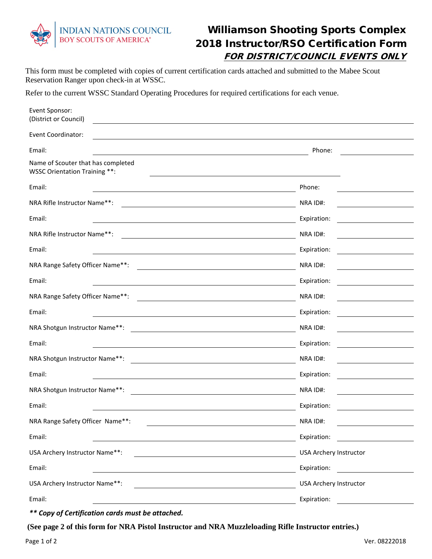

## Williamson Shooting Sports Complex 2018 Instructor/RSO Certification Form FOR DISTRICT/COUNCIL EVENTS ONLY

This form must be completed with copies of current certification cards attached and submitted to the Mabee Scout Reservation Ranger upon check-in at WSSC.

Refer to the current WSSC Standard Operating Procedures for required certifications for each venue.

| Event Sponsor:<br>(District or Council)                             |                               |
|---------------------------------------------------------------------|-------------------------------|
| <b>Event Coordinator:</b>                                           |                               |
| Email:                                                              | Phone:                        |
| Name of Scouter that has completed<br>WSSC Orientation Training **: |                               |
| Email:                                                              | Phone:                        |
| NRA Rifle Instructor Name**:                                        | NRA ID#:                      |
| Email:                                                              | Expiration:                   |
| NRA Rifle Instructor Name**:                                        | NRA ID#:                      |
| Email:                                                              | Expiration:                   |
| NRA Range Safety Officer Name**:                                    | NRA ID#:                      |
| Email:                                                              | Expiration:                   |
| NRA Range Safety Officer Name**:                                    | NRA ID#:                      |
| Email:                                                              | Expiration:                   |
| NRA Shotgun Instructor Name**:                                      | NRA ID#:                      |
| Email:                                                              | Expiration:                   |
| NRA Shotgun Instructor Name**:                                      | NRA ID#:                      |
| Email:                                                              | Expiration:                   |
| NRA Shotgun Instructor Name**:                                      | NRA ID#:                      |
| Email:                                                              | Expiration:                   |
| NRA Range Safety Officer Name**:                                    | NRA ID#:                      |
| Email:                                                              | Expiration:                   |
| USA Archery Instructor Name**:                                      | <b>USA Archery Instructor</b> |
| Email:                                                              | Expiration:                   |
| USA Archery Instructor Name**:                                      | <b>USA Archery Instructor</b> |
| Email:                                                              | Expiration:                   |

*\*\* Copy of Certification cards must be attached.*

**(See page 2 of this form for NRA Pistol Instructor and NRA Muzzleloading Rifle Instructor entries.)**